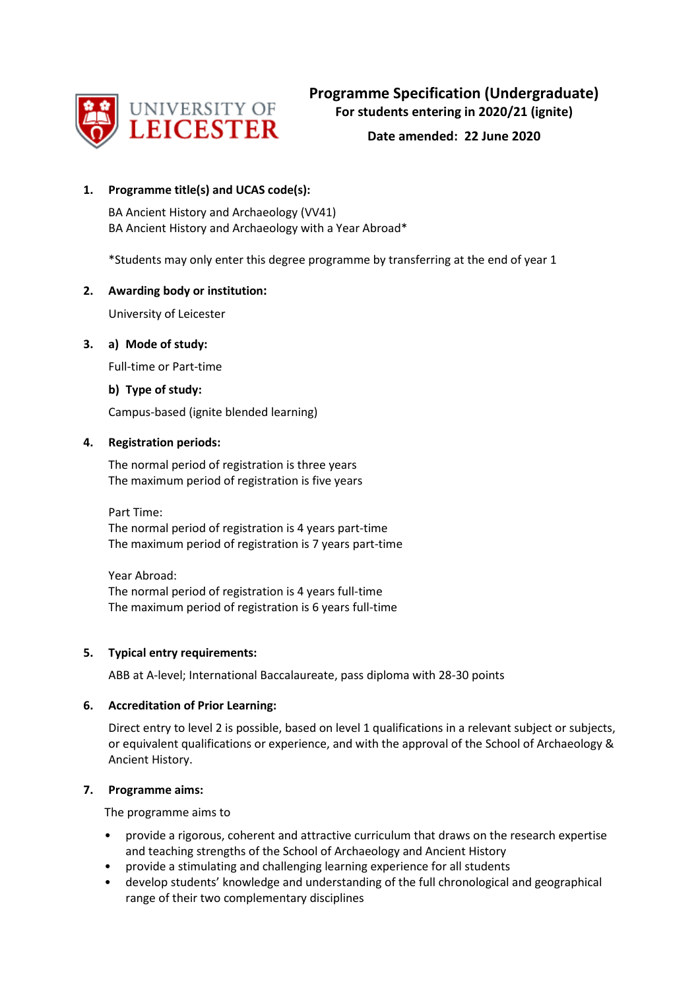

**Date amended: 22 June 2020**

# **1. Programme title(s) and UCAS code(s):**

BA Ancient History and Archaeology (VV41) BA Ancient History and Archaeology with a Year Abroad\*

\*Students may only enter this degree programme by transferring at the end of year 1

# **2. Awarding body or institution:**

University of Leicester

## **3. a) Mode of study:**

Full-time or Part-time

## **b) Type of study:**

Campus-based (ignite blended learning)

## **4. Registration periods:**

The normal period of registration is three years The maximum period of registration is five years

Part Time: The normal period of registration is 4 years part-time The maximum period of registration is 7 years part-time

Year Abroad: The normal period of registration is 4 years full-time The maximum period of registration is 6 years full-time

#### **5. Typical entry requirements:**

ABB at A-level; International Baccalaureate, pass diploma with 28-30 points

# **6. Accreditation of Prior Learning:**

Direct entry to level 2 is possible, based on level 1 qualifications in a relevant subject or subjects, or equivalent qualifications or experience, and with the approval of the School of Archaeology & Ancient History.

## **7. Programme aims:**

The programme aims to

- provide a rigorous, coherent and attractive curriculum that draws on the research expertise and teaching strengths of the School of Archaeology and Ancient History
- provide a stimulating and challenging learning experience for all students
- develop students' knowledge and understanding of the full chronological and geographical range of their two complementary disciplines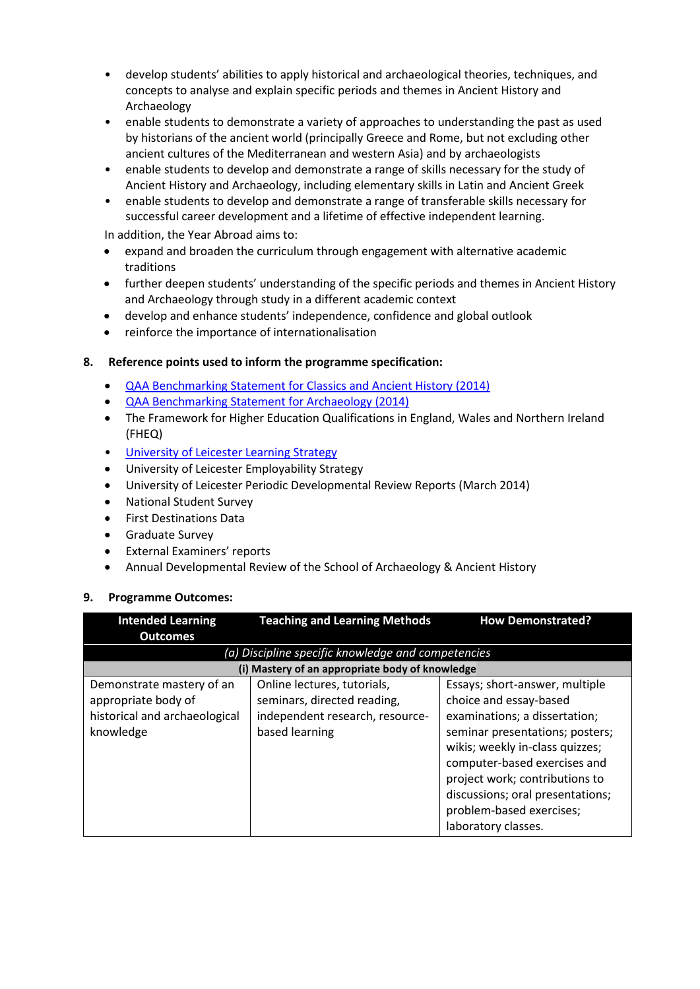- develop students' abilities to apply historical and archaeological theories, techniques, and concepts to analyse and explain specific periods and themes in Ancient History and Archaeology
- enable students to demonstrate a variety of approaches to understanding the past as used by historians of the ancient world (principally Greece and Rome, but not excluding other ancient cultures of the Mediterranean and western Asia) and by archaeologists
- enable students to develop and demonstrate a range of skills necessary for the study of Ancient History and Archaeology, including elementary skills in Latin and Ancient Greek
- enable students to develop and demonstrate a range of transferable skills necessary for successful career development and a lifetime of effective independent learning.

In addition, the Year Abroad aims to:

- expand and broaden the curriculum through engagement with alternative academic traditions
- further deepen students' understanding of the specific periods and themes in Ancient History and Archaeology through study in a different academic context
- develop and enhance students' independence, confidence and global outlook
- reinforce the importance of internationalisation

## **8. Reference points used to inform the programme specification:**

- [QAA Benchmarking Statement for Classics](http://www.qaa.ac.uk/en/Publications/Documents/SBS-classics-14.pdf) and Ancient History (2014)
- [QAA Benchmarking Statement for Archaeology](http://www.qaa.ac.uk/en/Publications/Documents/SBS-archaeology-14.pdf) (2014)
- The Framework for Higher Education Qualifications in England, Wales and Northern Ireland (FHEQ)
- [University of Leicester Learning Strategy](http://www2.le.ac.uk/offices/sas2/quality/learnteach)
- University of Leicester Employability Strategy
- University of Leicester Periodic Developmental Review Reports (March 2014)
- National Student Survey
- First Destinations Data
- Graduate Survey
- External Examiners' reports
- Annual Developmental Review of the School of Archaeology & Ancient History

#### **9. Programme Outcomes:**

| <b>Intended Learning</b>      | <b>Teaching and Learning Methods</b>               | <b>How Demonstrated?</b>         |
|-------------------------------|----------------------------------------------------|----------------------------------|
| <b>Outcomes</b>               |                                                    |                                  |
|                               | (a) Discipline specific knowledge and competencies |                                  |
|                               | (i) Mastery of an appropriate body of knowledge    |                                  |
| Demonstrate mastery of an     | Online lectures, tutorials,                        | Essays; short-answer, multiple   |
| appropriate body of           | seminars, directed reading,                        | choice and essay-based           |
| historical and archaeological | independent research, resource-                    | examinations; a dissertation;    |
| knowledge                     | based learning                                     | seminar presentations; posters;  |
|                               |                                                    | wikis; weekly in-class quizzes;  |
|                               |                                                    | computer-based exercises and     |
|                               |                                                    | project work; contributions to   |
|                               |                                                    | discussions; oral presentations; |
|                               |                                                    | problem-based exercises;         |
|                               |                                                    | laboratory classes.              |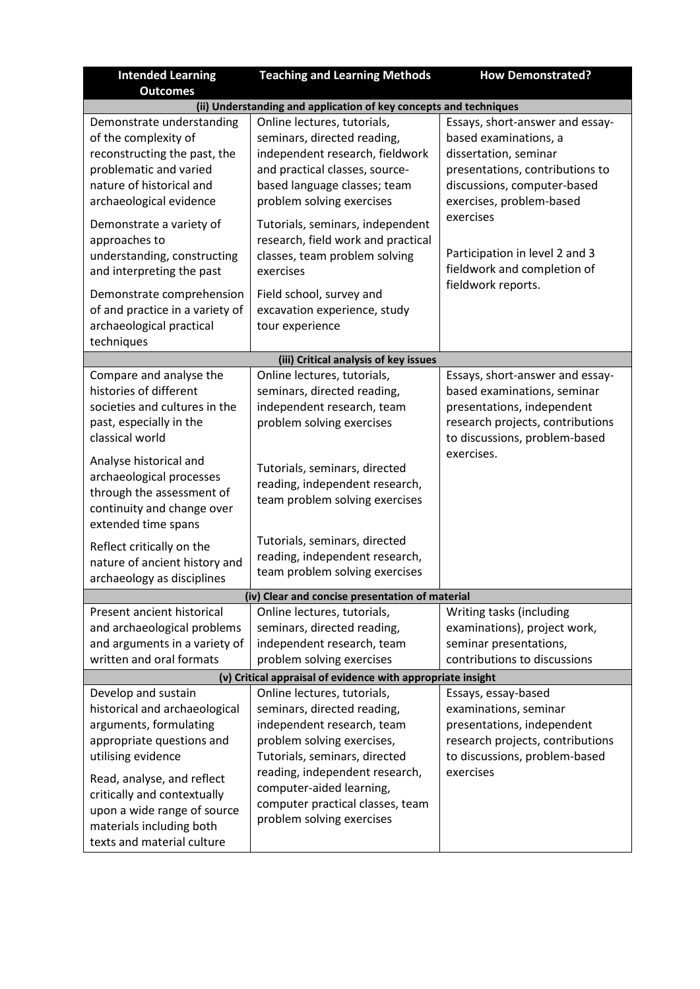| <b>Intended Learning</b><br><b>Outcomes</b>                                                                                                                                                                                                                                                                                            | <b>Teaching and Learning Methods</b>                                                                                                                                                                                                                                                          | <b>How Demonstrated?</b>                                                                                                                                                        |
|----------------------------------------------------------------------------------------------------------------------------------------------------------------------------------------------------------------------------------------------------------------------------------------------------------------------------------------|-----------------------------------------------------------------------------------------------------------------------------------------------------------------------------------------------------------------------------------------------------------------------------------------------|---------------------------------------------------------------------------------------------------------------------------------------------------------------------------------|
|                                                                                                                                                                                                                                                                                                                                        | (ii) Understanding and application of key concepts and techniques                                                                                                                                                                                                                             |                                                                                                                                                                                 |
| Demonstrate understanding<br>of the complexity of<br>reconstructing the past, the<br>problematic and varied<br>nature of historical and<br>archaeological evidence                                                                                                                                                                     | Online lectures, tutorials,<br>seminars, directed reading,<br>independent research, fieldwork<br>and practical classes, source-<br>based language classes; team<br>problem solving exercises                                                                                                  | Essays, short-answer and essay-<br>based examinations, a<br>dissertation, seminar<br>presentations, contributions to<br>discussions, computer-based<br>exercises, problem-based |
| Demonstrate a variety of<br>approaches to<br>understanding, constructing<br>and interpreting the past                                                                                                                                                                                                                                  | Tutorials, seminars, independent<br>research, field work and practical<br>classes, team problem solving<br>exercises                                                                                                                                                                          | exercises<br>Participation in level 2 and 3<br>fieldwork and completion of                                                                                                      |
| Demonstrate comprehension<br>of and practice in a variety of<br>archaeological practical<br>techniques                                                                                                                                                                                                                                 | Field school, survey and<br>excavation experience, study<br>tour experience                                                                                                                                                                                                                   | fieldwork reports.                                                                                                                                                              |
|                                                                                                                                                                                                                                                                                                                                        | (iii) Critical analysis of key issues                                                                                                                                                                                                                                                         |                                                                                                                                                                                 |
| Compare and analyse the<br>histories of different<br>societies and cultures in the<br>past, especially in the<br>classical world<br>Analyse historical and<br>archaeological processes<br>through the assessment of<br>continuity and change over<br>extended time spans<br>Reflect critically on the<br>nature of ancient history and | Online lectures, tutorials,<br>seminars, directed reading,<br>independent research, team<br>problem solving exercises<br>Tutorials, seminars, directed<br>reading, independent research,<br>team problem solving exercises<br>Tutorials, seminars, directed<br>reading, independent research, | Essays, short-answer and essay-<br>based examinations, seminar<br>presentations, independent<br>research projects, contributions<br>to discussions, problem-based<br>exercises. |
| archaeology as disciplines                                                                                                                                                                                                                                                                                                             | team problem solving exercises                                                                                                                                                                                                                                                                |                                                                                                                                                                                 |
|                                                                                                                                                                                                                                                                                                                                        | (iv) Clear and concise presentation of material                                                                                                                                                                                                                                               |                                                                                                                                                                                 |
| Present ancient historical<br>and archaeological problems<br>and arguments in a variety of<br>written and oral formats                                                                                                                                                                                                                 | Online lectures, tutorials,<br>seminars, directed reading,<br>independent research, team<br>problem solving exercises                                                                                                                                                                         | Writing tasks (including<br>examinations), project work,<br>seminar presentations,<br>contributions to discussions                                                              |
| Develop and sustain                                                                                                                                                                                                                                                                                                                    | (v) Critical appraisal of evidence with appropriate insight<br>Online lectures, tutorials,                                                                                                                                                                                                    |                                                                                                                                                                                 |
| historical and archaeological<br>arguments, formulating<br>appropriate questions and<br>utilising evidence<br>Read, analyse, and reflect<br>critically and contextually<br>upon a wide range of source<br>materials including both<br>texts and material culture                                                                       | seminars, directed reading,<br>independent research, team<br>problem solving exercises,<br>Tutorials, seminars, directed<br>reading, independent research,<br>computer-aided learning,<br>computer practical classes, team<br>problem solving exercises                                       | Essays, essay-based<br>examinations, seminar<br>presentations, independent<br>research projects, contributions<br>to discussions, problem-based<br>exercises                    |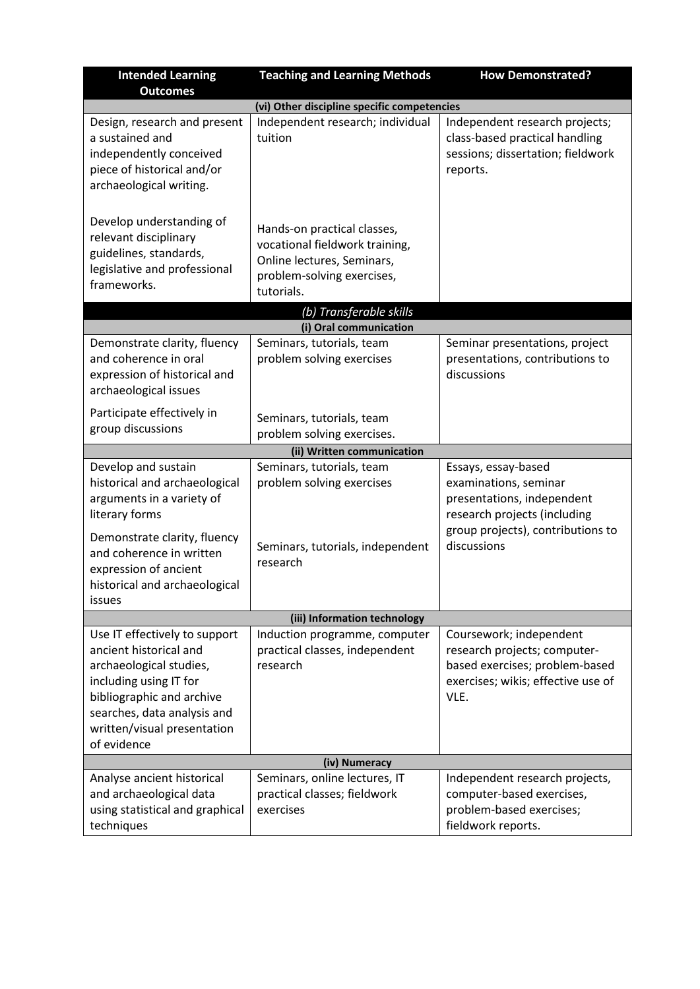| <b>Intended Learning</b><br><b>Outcomes</b>                                                                                                                                                                            | <b>Teaching and Learning Methods</b>                                                                                                    | <b>How Demonstrated?</b>                                                                                                                |
|------------------------------------------------------------------------------------------------------------------------------------------------------------------------------------------------------------------------|-----------------------------------------------------------------------------------------------------------------------------------------|-----------------------------------------------------------------------------------------------------------------------------------------|
|                                                                                                                                                                                                                        | (vi) Other discipline specific competencies                                                                                             |                                                                                                                                         |
| Design, research and present<br>a sustained and<br>independently conceived<br>piece of historical and/or<br>archaeological writing.                                                                                    | Independent research; individual<br>tuition                                                                                             | Independent research projects;<br>class-based practical handling<br>sessions; dissertation; fieldwork<br>reports.                       |
| Develop understanding of<br>relevant disciplinary<br>guidelines, standards,<br>legislative and professional<br>frameworks.                                                                                             | Hands-on practical classes,<br>vocational fieldwork training,<br>Online lectures, Seminars,<br>problem-solving exercises,<br>tutorials. |                                                                                                                                         |
|                                                                                                                                                                                                                        | (b) Transferable skills                                                                                                                 |                                                                                                                                         |
|                                                                                                                                                                                                                        | (i) Oral communication                                                                                                                  |                                                                                                                                         |
| Demonstrate clarity, fluency<br>and coherence in oral<br>expression of historical and<br>archaeological issues                                                                                                         | Seminars, tutorials, team<br>problem solving exercises                                                                                  | Seminar presentations, project<br>presentations, contributions to<br>discussions                                                        |
| Participate effectively in<br>group discussions                                                                                                                                                                        | Seminars, tutorials, team<br>problem solving exercises.                                                                                 |                                                                                                                                         |
|                                                                                                                                                                                                                        | (ii) Written communication                                                                                                              |                                                                                                                                         |
| Develop and sustain<br>historical and archaeological<br>arguments in a variety of<br>literary forms                                                                                                                    | Seminars, tutorials, team<br>problem solving exercises                                                                                  | Essays, essay-based<br>examinations, seminar<br>presentations, independent<br>research projects (including                              |
| Demonstrate clarity, fluency<br>and coherence in written<br>expression of ancient<br>historical and archaeological<br>issues                                                                                           | Seminars, tutorials, independent<br>research                                                                                            | group projects), contributions to<br>discussions                                                                                        |
|                                                                                                                                                                                                                        | (iii) Information technology                                                                                                            |                                                                                                                                         |
| Use IT effectively to support<br>ancient historical and<br>archaeological studies,<br>including using IT for<br>bibliographic and archive<br>searches, data analysis and<br>written/visual presentation<br>of evidence | Induction programme, computer<br>practical classes, independent<br>research                                                             | Coursework; independent<br>research projects; computer-<br>based exercises; problem-based<br>exercises; wikis; effective use of<br>VLE. |
|                                                                                                                                                                                                                        | (iv) Numeracy                                                                                                                           |                                                                                                                                         |
| Analyse ancient historical<br>and archaeological data<br>using statistical and graphical<br>techniques                                                                                                                 | Seminars, online lectures, IT<br>practical classes; fieldwork<br>exercises                                                              | Independent research projects,<br>computer-based exercises,<br>problem-based exercises;<br>fieldwork reports.                           |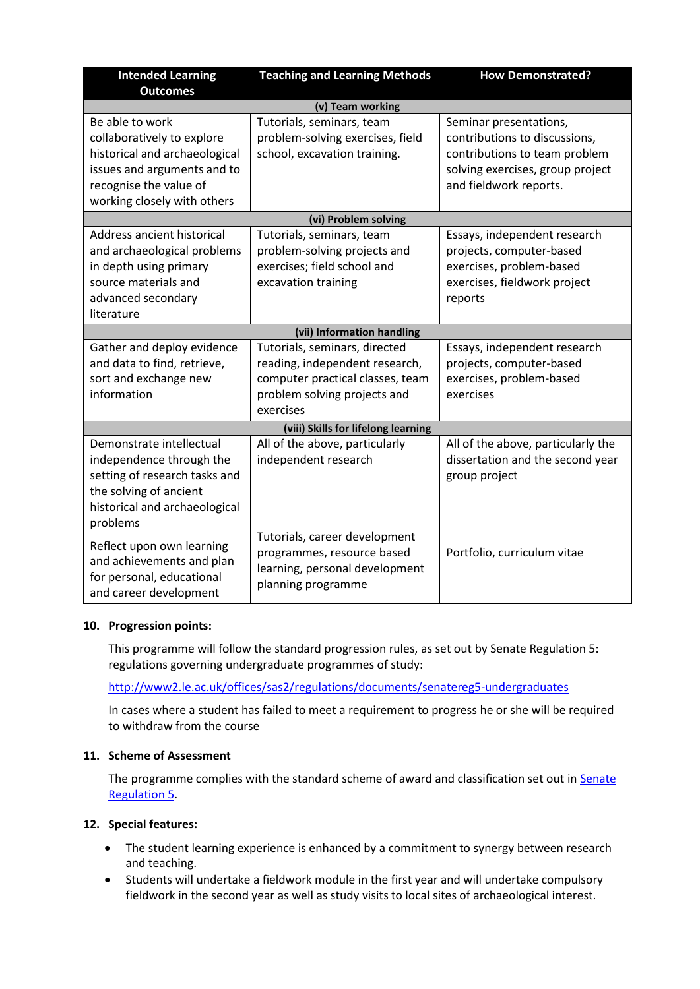| <b>Intended Learning</b><br><b>Outcomes</b>                                                                                                                            | <b>Teaching and Learning Methods</b>                                                                                                             | <b>How Demonstrated?</b>                                                                                                                               |  |  |  |  |  |
|------------------------------------------------------------------------------------------------------------------------------------------------------------------------|--------------------------------------------------------------------------------------------------------------------------------------------------|--------------------------------------------------------------------------------------------------------------------------------------------------------|--|--|--|--|--|
|                                                                                                                                                                        | (v) Team working                                                                                                                                 |                                                                                                                                                        |  |  |  |  |  |
| Be able to work<br>collaboratively to explore<br>historical and archaeological<br>issues and arguments and to<br>recognise the value of<br>working closely with others | Tutorials, seminars, team<br>problem-solving exercises, field<br>school, excavation training.                                                    | Seminar presentations,<br>contributions to discussions,<br>contributions to team problem<br>solving exercises, group project<br>and fieldwork reports. |  |  |  |  |  |
|                                                                                                                                                                        | (vi) Problem solving                                                                                                                             |                                                                                                                                                        |  |  |  |  |  |
| Address ancient historical<br>and archaeological problems<br>in depth using primary<br>source materials and<br>advanced secondary<br>literature                        | Tutorials, seminars, team<br>problem-solving projects and<br>exercises; field school and<br>excavation training                                  | Essays, independent research<br>projects, computer-based<br>exercises, problem-based<br>exercises, fieldwork project<br>reports                        |  |  |  |  |  |
|                                                                                                                                                                        | (vii) Information handling                                                                                                                       |                                                                                                                                                        |  |  |  |  |  |
| Gather and deploy evidence<br>and data to find, retrieve,<br>sort and exchange new<br>information                                                                      | Tutorials, seminars, directed<br>reading, independent research,<br>computer practical classes, team<br>problem solving projects and<br>exercises | Essays, independent research<br>projects, computer-based<br>exercises, problem-based<br>exercises                                                      |  |  |  |  |  |
|                                                                                                                                                                        | (viii) Skills for lifelong learning                                                                                                              |                                                                                                                                                        |  |  |  |  |  |
| Demonstrate intellectual<br>independence through the<br>setting of research tasks and<br>the solving of ancient<br>historical and archaeological<br>problems           | All of the above, particularly<br>independent research                                                                                           | All of the above, particularly the<br>dissertation and the second year<br>group project                                                                |  |  |  |  |  |
| Reflect upon own learning<br>and achievements and plan<br>for personal, educational<br>and career development                                                          | Tutorials, career development<br>programmes, resource based<br>learning, personal development<br>planning programme                              | Portfolio, curriculum vitae                                                                                                                            |  |  |  |  |  |

# **10. Progression points:**

This programme will follow the standard progression rules, as set out by Senate Regulation 5: regulations governing undergraduate programmes of study:

<http://www2.le.ac.uk/offices/sas2/regulations/documents/senatereg5-undergraduates>

In cases where a student has failed to meet a requirement to progress he or she will be required to withdraw from the course

# **11. Scheme of Assessment**

The programme complies with the standard scheme of award and classification set out in Senate [Regulation 5.](http://www2.le.ac.uk/offices/sas2/regulations/documents/senatereg5-undergraduates)

# **12. Special features:**

- The student learning experience is enhanced by a commitment to synergy between research and teaching.
- Students will undertake a fieldwork module in the first year and will undertake compulsory fieldwork in the second year as well as study visits to local sites of archaeological interest.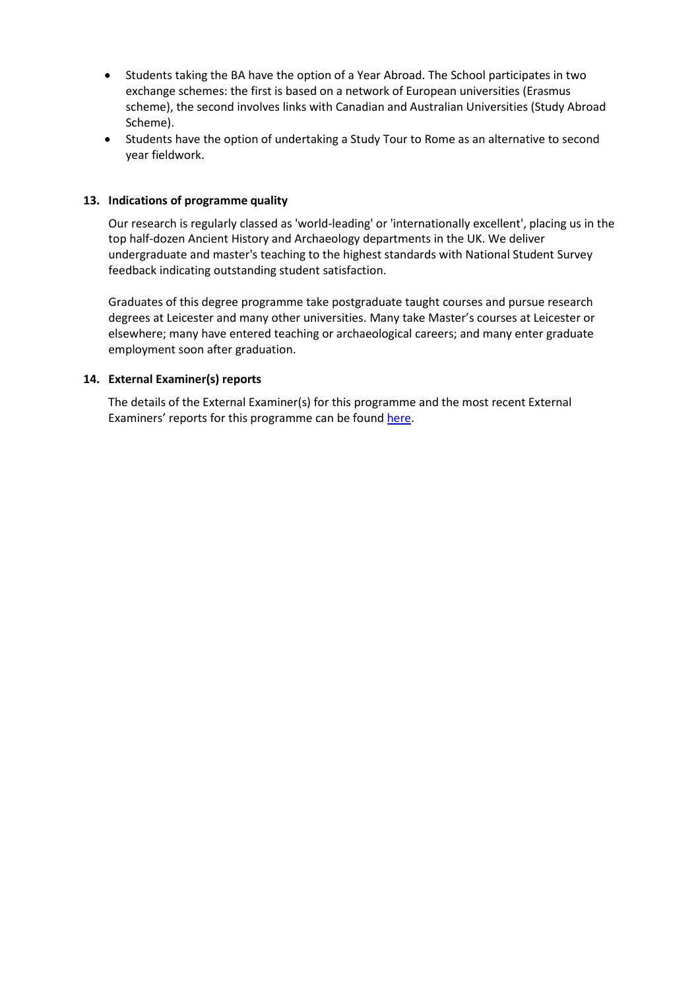- Students taking the BA have the option of a Year Abroad. The School participates in two exchange schemes: the first is based on a network of European universities (Erasmus scheme), the second involves links with Canadian and Australian Universities (Study Abroad Scheme).
- Students have the option of undertaking a Study Tour to Rome as an alternative to second year fieldwork.

#### **13. Indications of programme quality**

Our research is regularly classed as 'world-leading' or 'internationally excellent', placing us in the top half-dozen Ancient History and Archaeology departments in the UK. We deliver undergraduate and master's teaching to the highest standards with National Student Survey feedback indicating outstanding student satisfaction.

Graduates of this degree programme take postgraduate taught courses and pursue research degrees at Leicester and many other universities. Many take Master's courses at Leicester or elsewhere; many have entered teaching or archaeological careers; and many enter graduate employment soon after graduation.

## **14. External Examiner(s) reports**

The details of the External Examiner(s) for this programme and the most recent External Examiners' reports for this programme can be found [here.](https://exampapers.le.ac.uk/xmlui/)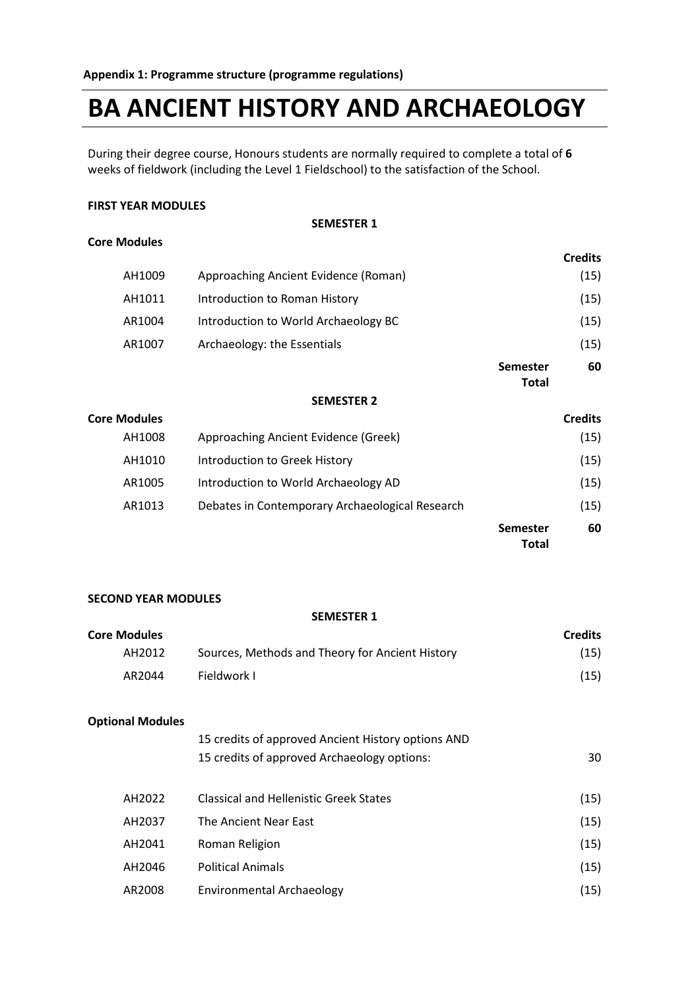# **BA ANCIENT HISTORY AND ARCHAEOLOGY**

During their degree course, Honours students are normally required to complete a total of **6** weeks of fieldwork (including the Level 1 Fieldschool) to the satisfaction of the School.

#### **FIRST YEAR MODULES**

|                     | <b>SEMESTER 1</b>                               |                                 |                |
|---------------------|-------------------------------------------------|---------------------------------|----------------|
| <b>Core Modules</b> |                                                 |                                 |                |
|                     |                                                 |                                 | <b>Credits</b> |
| AH1009              | Approaching Ancient Evidence (Roman)            |                                 | (15)           |
| AH1011              | Introduction to Roman History                   |                                 | (15)           |
| AR1004              | Introduction to World Archaeology BC            |                                 | (15)           |
| AR1007              | Archaeology: the Essentials                     |                                 | (15)           |
|                     |                                                 | <b>Semester</b><br><b>Total</b> | 60             |
|                     | <b>SEMESTER 2</b>                               |                                 |                |
| <b>Core Modules</b> |                                                 |                                 | <b>Credits</b> |
| AH1008              | Approaching Ancient Evidence (Greek)            |                                 | (15)           |
| AH1010              | Introduction to Greek History                   |                                 | (15)           |
| AR1005              | Introduction to World Archaeology AD            |                                 | (15)           |
| AR1013              | Debates in Contemporary Archaeological Research |                                 | (15)           |
|                     |                                                 | <b>Semester</b><br><b>Total</b> | 60             |

## **SECOND YEAR MODULES**

#### **SEMESTER 1**

| <b>Core Modules</b>     |                                                    | <b>Credits</b> |
|-------------------------|----------------------------------------------------|----------------|
| AH2012                  | Sources, Methods and Theory for Ancient History    | (15)           |
| AR2044                  | Fieldwork I                                        | (15)           |
| <b>Optional Modules</b> |                                                    |                |
|                         | 15 credits of approved Ancient History options AND |                |

|        | 15 credits or approved Aricicrit History options AND<br>15 credits of approved Archaeology options: | 30   |
|--------|-----------------------------------------------------------------------------------------------------|------|
| AH2022 | <b>Classical and Hellenistic Greek States</b>                                                       | (15) |
| AH2037 | The Ancient Near East                                                                               | (15) |
| AH2041 | Roman Religion                                                                                      | (15) |
| AH2046 | <b>Political Animals</b>                                                                            | (15) |
| AR2008 | <b>Environmental Archaeology</b>                                                                    | (15) |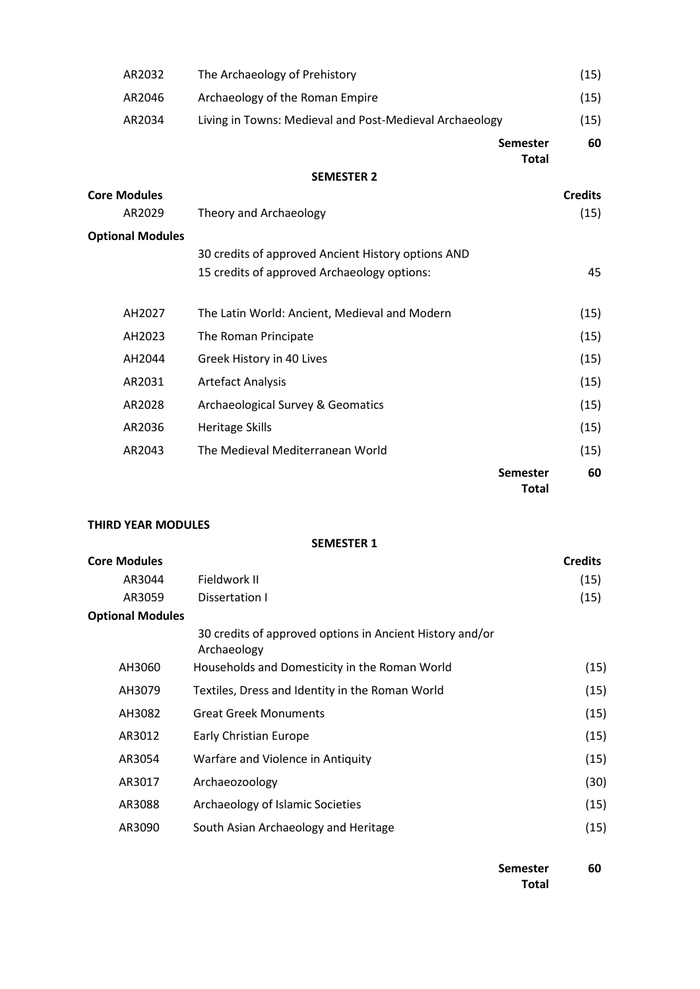|                         |                                                                                                   | <b>Semester</b><br><b>Total</b> | 60             |
|-------------------------|---------------------------------------------------------------------------------------------------|---------------------------------|----------------|
| AR2043                  | The Medieval Mediterranean World                                                                  |                                 | (15)           |
| AR2036                  | <b>Heritage Skills</b>                                                                            |                                 | (15)           |
| AR2028                  | Archaeological Survey & Geomatics                                                                 |                                 | (15)           |
| AR2031                  | <b>Artefact Analysis</b>                                                                          |                                 | (15)           |
| AH2044                  | Greek History in 40 Lives                                                                         |                                 | (15)           |
| AH2023                  | The Roman Principate                                                                              |                                 | (15)           |
| AH2027                  | The Latin World: Ancient, Medieval and Modern                                                     |                                 | (15)           |
|                         | 30 credits of approved Ancient History options AND<br>15 credits of approved Archaeology options: |                                 | 45             |
| <b>Optional Modules</b> |                                                                                                   |                                 |                |
| AR2029                  | Theory and Archaeology                                                                            |                                 | (15)           |
| <b>Core Modules</b>     |                                                                                                   |                                 | <b>Credits</b> |
|                         | <b>SEMESTER 2</b>                                                                                 |                                 |                |
|                         |                                                                                                   | <b>Semester</b><br><b>Total</b> | 60             |
| AR2034                  | Living in Towns: Medieval and Post-Medieval Archaeology                                           |                                 | (15)           |
| AR2046                  | Archaeology of the Roman Empire                                                                   |                                 | (15)           |
| AR2032                  | The Archaeology of Prehistory                                                                     |                                 | (15)           |

## **THIRD YEAR MODULES**

| <b>Core Modules</b>     |                                                                         | <b>Credits</b> |
|-------------------------|-------------------------------------------------------------------------|----------------|
| AR3044                  | Fieldwork II                                                            | (15)           |
| AR3059                  | Dissertation I                                                          | (15)           |
| <b>Optional Modules</b> |                                                                         |                |
|                         | 30 credits of approved options in Ancient History and/or<br>Archaeology |                |
| AH3060                  | Households and Domesticity in the Roman World                           | (15)           |
| AH3079                  | Textiles, Dress and Identity in the Roman World                         | (15)           |
| AH3082                  | <b>Great Greek Monuments</b>                                            | (15)           |
| AR3012                  | <b>Early Christian Europe</b>                                           | (15)           |
| AR3054                  | Warfare and Violence in Antiquity                                       | (15)           |
| AR3017                  | Archaeozoology                                                          | (30)           |
| AR3088                  | Archaeology of Islamic Societies                                        | (15)           |
| AR3090                  | South Asian Archaeology and Heritage                                    | (15)           |

**SEMESTER 1**

**Semester Total 60**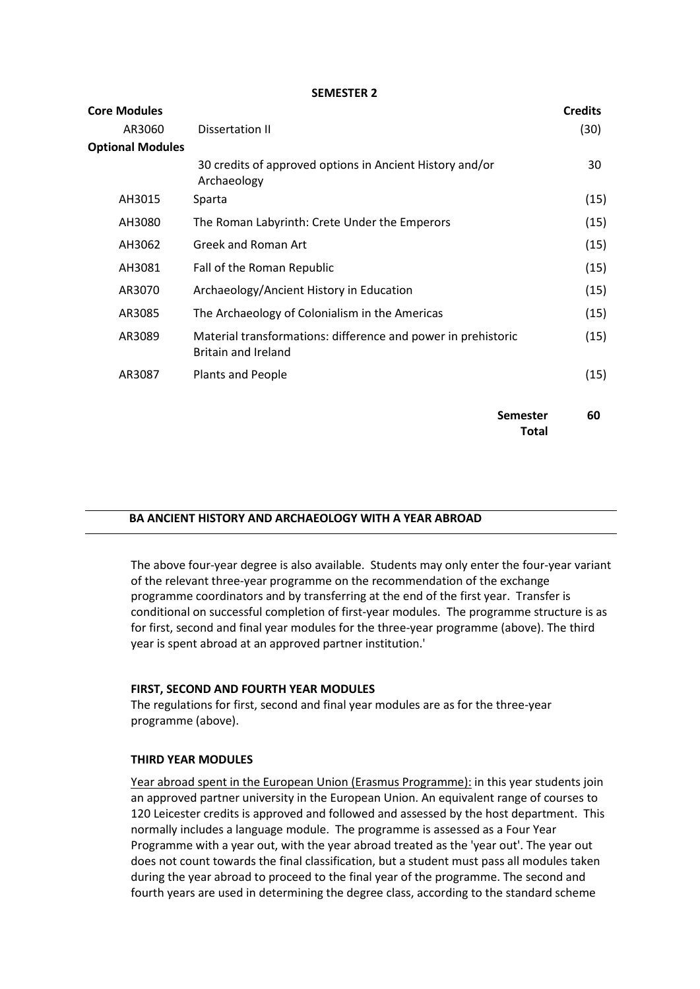**SEMESTER 2**

| <b>Core Modules</b>     |                                                                                             | <b>Credits</b> |
|-------------------------|---------------------------------------------------------------------------------------------|----------------|
| AR3060                  | Dissertation II                                                                             | (30)           |
| <b>Optional Modules</b> |                                                                                             |                |
|                         | 30 credits of approved options in Ancient History and/or<br>Archaeology                     | 30             |
| AH3015                  | Sparta                                                                                      | (15)           |
| AH3080                  | The Roman Labyrinth: Crete Under the Emperors                                               | (15)           |
| AH3062                  | <b>Greek and Roman Art</b>                                                                  | (15)           |
| AH3081                  | Fall of the Roman Republic                                                                  | (15)           |
| AR3070                  | Archaeology/Ancient History in Education                                                    | (15)           |
| AR3085                  | The Archaeology of Colonialism in the Americas                                              | (15)           |
| AR3089                  | Material transformations: difference and power in prehistoric<br><b>Britain and Ireland</b> | (15)           |
| AR3087                  | <b>Plants and People</b>                                                                    | (15)           |
|                         | <b>Semester</b>                                                                             | 60             |

#### **BA ANCIENT HISTORY AND ARCHAEOLOGY WITH A YEAR ABROAD**

The above four-year degree is also available. Students may only enter the four-year variant of the relevant three-year programme on the recommendation of the exchange programme coordinators and by transferring at the end of the first year. Transfer is conditional on successful completion of first-year modules. The programme structure is as for first, second and final year modules for the three-year programme (above). The third year is spent abroad at an approved partner institution.'

**Total**

#### **FIRST, SECOND AND FOURTH YEAR MODULES**

The regulations for first, second and final year modules are as for the three-year programme (above).

#### **THIRD YEAR MODULES**

Year abroad spent in the European Union (Erasmus Programme): in this year students join an approved partner university in the European Union. An equivalent range of courses to 120 Leicester credits is approved and followed and assessed by the host department. This normally includes a language module. The programme is assessed as a Four Year Programme with a year out, with the year abroad treated as the 'year out'. The year out does not count towards the final classification, but a student must pass all modules taken during the year abroad to proceed to the final year of the programme. The second and fourth years are used in determining the degree class, according to the standard scheme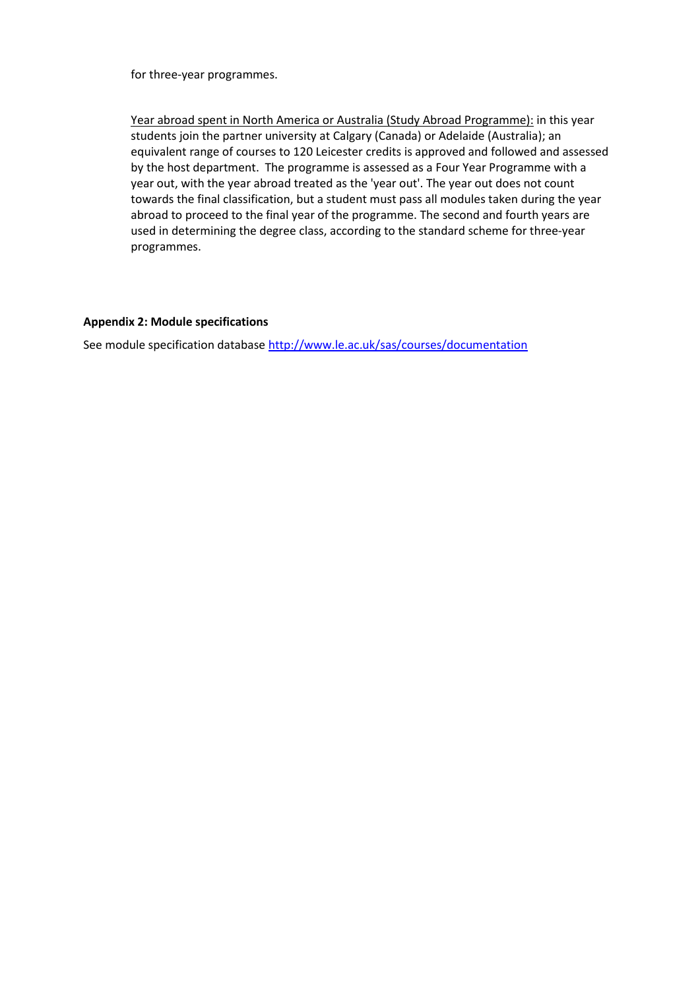for three-year programmes.

Year abroad spent in North America or Australia (Study Abroad Programme): in this year students join the partner university at Calgary (Canada) or Adelaide (Australia); an equivalent range of courses to 120 Leicester credits is approved and followed and assessed by the host department. The programme is assessed as a Four Year Programme with a year out, with the year abroad treated as the 'year out'. The year out does not count towards the final classification, but a student must pass all modules taken during the year abroad to proceed to the final year of the programme. The second and fourth years are used in determining the degree class, according to the standard scheme for three-year programmes.

#### **Appendix 2: Module specifications**

See module specification database <http://www.le.ac.uk/sas/courses/documentation>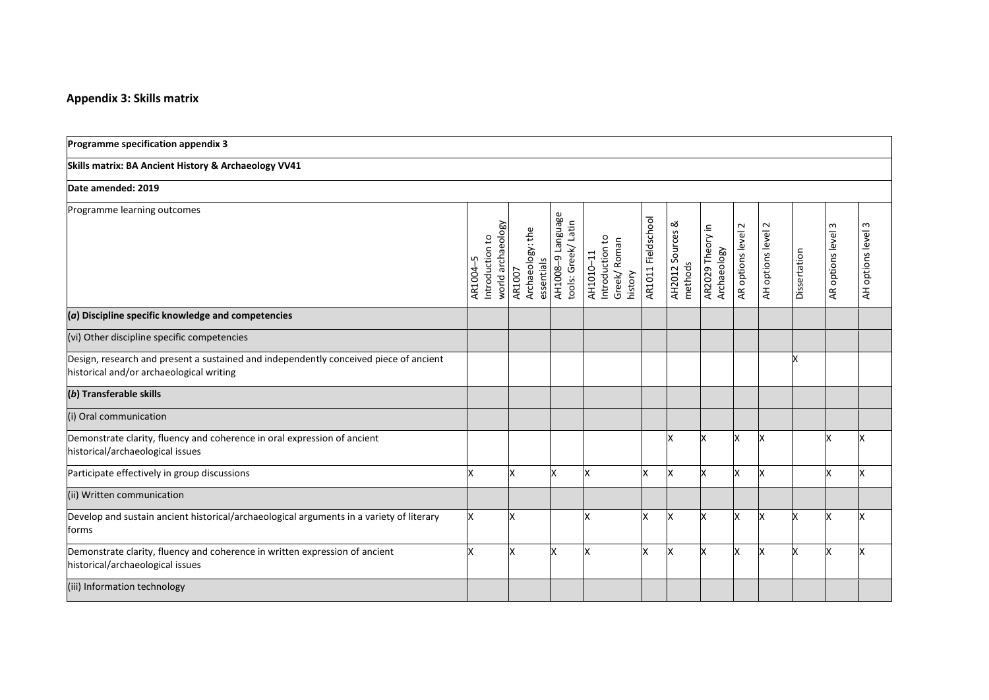# **Appendix 3: Skills matrix**

| Programme specification appendix 3                                                                                                |                                                 |                                          |                                          |                                                        |                    |                             |                                 |                            |                       |              |                       |                       |
|-----------------------------------------------------------------------------------------------------------------------------------|-------------------------------------------------|------------------------------------------|------------------------------------------|--------------------------------------------------------|--------------------|-----------------------------|---------------------------------|----------------------------|-----------------------|--------------|-----------------------|-----------------------|
| Skills matrix: BA Ancient History & Archaeology VV41                                                                              |                                                 |                                          |                                          |                                                        |                    |                             |                                 |                            |                       |              |                       |                       |
| Date amended: 2019                                                                                                                |                                                 |                                          |                                          |                                                        |                    |                             |                                 |                            |                       |              |                       |                       |
| Programme learning outcomes                                                                                                       | world archaeology<br>Introduction to<br>AR1004- | Archaeology: the<br>essentials<br>AR1007 | AH1008-9 Language<br>tools: Greek/ Latin | Introduction to<br>Greek/Roman<br>AH1010-11<br>history | AR1011 Fieldschool | AH2012 Sources &<br>methods | AR2029 Theory in<br>Archaeology | $\sim$<br>AR options level | 2<br>AH options level | Dissertation | ω<br>AR options level | ω<br>AH options level |
| $(a)$ Discipline specific knowledge and competencies                                                                              |                                                 |                                          |                                          |                                                        |                    |                             |                                 |                            |                       |              |                       |                       |
| (vi) Other discipline specific competencies                                                                                       |                                                 |                                          |                                          |                                                        |                    |                             |                                 |                            |                       |              |                       |                       |
| Design, research and present a sustained and independently conceived piece of ancient<br>historical and/or archaeological writing |                                                 |                                          |                                          |                                                        |                    |                             |                                 |                            |                       | ΙX           |                       |                       |
| (b) Transferable skills                                                                                                           |                                                 |                                          |                                          |                                                        |                    |                             |                                 |                            |                       |              |                       |                       |
| (i) Oral communication                                                                                                            |                                                 |                                          |                                          |                                                        |                    |                             |                                 |                            |                       |              |                       |                       |
| Demonstrate clarity, fluency and coherence in oral expression of ancient<br>historical/archaeological issues                      |                                                 |                                          |                                          |                                                        |                    |                             |                                 | x                          |                       |              |                       |                       |
| Participate effectively in group discussions                                                                                      | x                                               | x                                        | x                                        | x                                                      | x                  | x                           | X                               | x                          | x                     |              | x                     |                       |
| (ii) Written communication                                                                                                        |                                                 |                                          |                                          |                                                        |                    |                             |                                 |                            |                       |              |                       |                       |
| Develop and sustain ancient historical/archaeological arguments in a variety of literary<br>forms                                 | x                                               | X                                        |                                          | x                                                      | x                  |                             |                                 |                            |                       | ΙX           |                       |                       |
| Demonstrate clarity, fluency and coherence in written expression of ancient<br>historical/archaeological issues                   | Ιx                                              | x                                        | x                                        | x                                                      | x                  |                             | x                               | x                          | x                     | X            | X                     |                       |
| (iii) Information technology                                                                                                      |                                                 |                                          |                                          |                                                        |                    |                             |                                 |                            |                       |              |                       |                       |